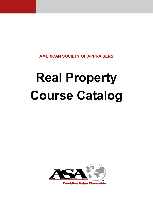**AMERICAN SOCIETY OF APPRAISERS** 

# **Real Property Course Catalog**

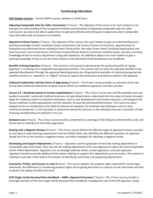# **Continuing Education**

#### **ASA Chapter Courses** – Former NAIFA courses, between 2 and 8 hours

**Adjusting Comparable Sales for Seller Concessions** (7 hours) – The objective of the course is for each student to not only gain an understanding of the recognized methods and techniques of adjusting comparable sales for seller concessions, but also to be able to apply these recognized methods and techniques to appraisals where comparable sales with seller paid concessions are involved.

**Appraisal of Green Homes** (7 Hours) ‐ The objective of the course is for each student to gain an understanding and a working knowledge of what constitutes Green Construction, the history of Green Construction, approximately 51 frequently misunderstood terms relating to Green Construction, the major Green Home Certifying Organizations and how they work, how to find Homes with Green Energy Efficient features and Green Certified homes, and also a working knowledge of how to extract adjustments using sales databases. An additional object is for each student to gain a working knowledge of how to use the Green Section of the Marshall & Swift Residential Cost Handbook.

**Benefits of Going Paperless** (4 hours) – This seminar is structured to demonstrate the practical benefits of "going paperless" in creating more comprehensive appraisal workfiles. The seminar will correlate the appraisal workfile to the appraisal development through the appraisal reporting process by citing practical examples of maintaining appropriate workfile content in a "paperless" or "digital" format to support the conclusions and opinions stated in the appraisal.

**Collateral Underwriter and the Future of Appraising** (4 hours) – This 4‐hour course provides an overview of the new Fannie Mae Collateral Underwriter program and its effects on residential appraisers and their practice.

**Course 2.4 – Roadmap System to Income Capitalization** (7 hours) – This 7‐hour Course uses real‐life examples and case studies to provide a systematic method to process net operating income, understand the time value of money concepts, apply the roadmap system to valuation techniques, such as rate development and residual valuation, and recognize the various methods of yield capitalization and the valuation of lease fee and leasehold interests. The Course has been designed to be an introduction to the field of commercial valuation, the methods and techniques used to value commercial properties. A 12C Calculator is required to attend this Seminar or the individual may use a calculator of their choosing, provided they are proficient in its use.

**Delaware Law** (3 hours) ‐ This 3‐hour course provides comprehensive coverage of the Delaware administrative code and license law as it pertains to real estate appraisers.

**Dealing with a Negative Review** (4 hours) – This 4‐hour course defines the different types of appraisal reviews, provides an overview of state licensing requirements and the USPAP ethics rule, identifies the different questions an appraiser should ask if he or she receives a negative review, and offers strategies for rebutting a negative review.

**Developing and Support Adjustments** (7 hours) – Appraisers spend a good part of each day making adjustments to comparable sales and rentals. They may also be making adjustments in the cost approach to adjust the land comparables and to reflect depreciation. Appraisers are increasingly asked by clients, review appraisers, and state appraiser regulatory boards to provide additional information relating to support their adjustments and conclusion. This seminar is intended to provide a fresh look at the process of identifying, extracting, and supporting adjustments.

**Easements, Profits, and Licenses in Land** (8 hours) ‐ This course explains the property rights acquired for various type easements, the difference in transferring property rights versus giving permission to a person to use real estate and how to perfect the taking of profits from land.

**HUD Single Family Housing Policy Handbook – 4000.1 Appraisal Overview** (7 hours) – This 7‐hour course provides a thorough overview of the new Single Family Housing Policy Handbook, including the role of the FHA appraiser, doing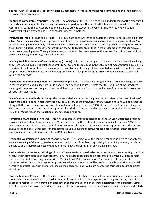business with FHA appraisers, property eligibility, acceptability criteria, appraiser requirements, and the characteristics of property improvements.

**Identifying Comparable Properties** (7 hours) – The objective of the course is to gain an understanding of the recognized methods and techniques for identifying comparable properties, and their application to appraisals, as set forth by the Appraisal Practices Board. Case studies and examples provide student involvement. The Revised APB Valuation Advisory #4 will be provided and used as student reference material.

**Institutional Fraud** (4 Hours and 8 Hours) ‐ This course has been written to stimulate the professional in examining their ethics. Fraud manifests itself in many directions and can occur in various forms and to various persons or entities. The course is a compilation of timely and exhaustive research into the subject of fraud and its possible consequences within the industry. Adjudicated cases from throughout the United States are utilized in the presentation of this course, along with current pending cases. Through these cases, students will be made aware of the extraordinary time involved from the initial investigation through final adjudication.

**Lending Guidelines for Manufactured Housing** (4 hours) ‐This course is designed to enhance the appraiser's knowledge of current lending guidelines established by FNMA, HUD and Freddie Mac in the valuation of manufactured housing. An overview of the forms utilized in the appraisal of manufactured housing will be presented along with current the newly adopted 1004C‐2005 Manufactured Home Appraisal Form. A full printing of the FNMA Announcement is contained within the Appendix.

**Manufactured Home Guide: History & Construction** (4 hours) ‐ This course is designed to assist the practicing appraiser in the identification of quality from fair to good in manufactured houses. A history of the evolution of manufactured housing will be presented along with the overall basic construction of manufactured houses from the 1960's to current construction techniques.

**Manufactured Home Guide** (8 hours) ‐ This course is designed to assist the practicing appraiser in the identification of quality from fair to good in manufactured houses. A history of the evolution of manufactured housing will be presented along with the overall basic construction of manufactured houses from the 1960's to current construction techniques. The course is designed to enhance the appraiser's knowledge of current lending guidelines established by Fannie Mae, HUD and Freddie Mac in the valuation of manufactured housing.

**Performing VA Appraisals** (7 hours) – This 7‐hour course will introduce attendees to the VA Loan Guarantee program, provide guidance about how to become a VA appraiser, outline the real estate properties eligible for the VA Mortgage Loan program, and detail the VA appraisal report contents, the approaches to value in VA appraisals, and other market analysis requirements. Other topics in this course include MPRs and repairs, proposed construction, other property types, minimum property requirements, and VA sanctions.

**Residential Appraising in a Changing Market** (7 hours) – The objective of the course is for each student to not only gain an understanding of the recognized methods and techniques of residential appraising in a declining market, but also to be able to apply these recognized methods and techniques to appraisals in any changing market.

**Residential Narrative Report Writing** (7 hours) ‐ The course is designed to be presented in a class room setting. It will be a lecture with class discussion style presentation. The course is designed to be presented following a 59‐page sample narrative appraisal report, augmented with a 53‐slide PowerPoint presentation. The students will end up with a narrative residential appraisal report template they take with them that will be useful as a guide in writing residential narrative appraisal reports in the future, should the need arise. They will learn how to use this tool in future appraisal situations.

**Stop the Madness** (4 hours) – This seminar is presented as a refresher to the practicing appraiser in identifying areas of the form or a narrative report that are deficient or altogether missing. As the professional engaged by any client, it is the appraiser's responsibility to provide an adequate supported value, and an accurate description of the property; using sound reasoning and providing evidence to support the methodology used for developing the value opinion, particularly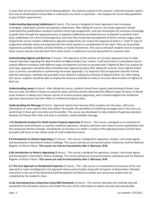in cases that are not covered by Fannie Mae guidelines. The material covered in this seminar is directed towards reports that may be wholesaled to Fannie Mae or retained by any client in a portfolio – but employs the Fannie Mae guidelines as part of their requirements.

**Understanding Appraising Subdivisions** (4 hours) ‐This course is designed to teach appraisers how to analyze, investigate, understand, present and appraise subdivisions. After taking this course, real estate appraisers should understand the qualifications needed to perform these type assignments, and they should gain the necessary knowledge to guide them through the appraisal process to appraise subdivisions provided they are competent to perform them. Since subdivisions are a form of land appraisal, and since they involve the development of land in various stages, these assignments can be complex. Subdivisions appraisal assignments can involve the appraisal of land as a "what if" type of assignment whereby values are projected into the future based on a consideration of the client. They can be partially engineered, partially recorded, partially finished, or totally finished lots. This course will teach students how to recognize these various statuses and will teach them when land in a subdivision must be discounted to a present value.

**Understanding Highest and Best Use** (7 hours) **‐** The objectives of this seminar are to teach appraisers how to make relevant decisions regarding the determination of Highest & Best Use. Further, it will teach those in attendance how to analyze different situations with different types of properties and how to proceed with a Highest & Best Use analysis for each type. Appraisers should be able to broaden their appraisal practice after taking this seminar. Since Highest & Best Use is a primary consideration in performing real estate appraisals, it is important that all appraisers become familiar with the techniques, methods and principles to be utilized in making the estimate of Highest & Best Use. After taking this course, students should be able to employ the necessary methods to make an accurate determination of Highest & Best Use.

**Understanding Leases** (4 hours) **‐** After taking this course, students should have a good understanding of leases, how they are used, the effect of leases on property value, and they should understand the different types of leases. It should assist students in taking more intense courses of income property appraising, and it should enlighten the residential appraiser about leases and their effect on residential property value.

**Understanding the Message** (4 hours) ‐ Appraisal reports have become fairly complex over the years, with more information on more aspects than ever before. No wonder the possibility of conflicting messages exist in this hurry up world of get it done, get more done and do another. This course was developed to help students of appraisal valuation develop and finesse their skills and write a consistent, understandable message.

**1.5C Residential Analysis for Small Income Property Appraisals** (8 Hours) – This course is designed as an extension of capitalization and techniques as used by residential appraisers. Students will learn more about income capitalization and the compound interest concepts, including the six functions of a dollar. A review of the appraisal process and the basic principles will focus on the related study of small residential income.

**6.0 Introduction to Historic Appraising** (15 Hours) – This course is designed for appraisers, lenders, real estate agents and homeowners interested in historic buildings. This course will discuss local preservations ordinances and the National Register of Historic Places. **This course can only be instructed by John S. Marrazzo, IFAS.**

**6.0A Introduction to Historic Appraising** (8 Hours) – This course is designed for appraisers, lenders, real estate agents and homeowners interested in historic buildings. This course will discuss local preservations ordinances and the National Register of Historic Places. **This course can only be instructed by John S. Marrazzo, IFAS.**

**6.7 The Cost Approach to Residential Properties** (7 hours) ‐ This 1 day course is a comprehensive overview of the cost approach to value including basic cost approach theory and principles along with all aspects of depreciation. Detailed instruction in the use of the Marshall & Swift Residential Cost Manual includes two actual case studies that are completed by the student in class.

**11.8a Calculating Gross Living Area Using ANSI Standards** (4 Hours) – This seminar describes the methods that will standardize the calculation process and enable the users of this information to obtain accurate and reproducible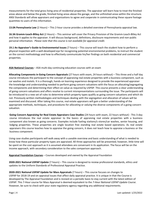measurements for the total gross living area of residential properties. The appraiser will learn how to treat the finished areas above and below the grade, finished living areas above the garage, and the unfinished areas within the structure. ANSI Standards will allow appraisers and organizations to agree and cooperate in communicating these square footage quantities to users of this information.

**13.0A Pennsylvania Law** (2 Hours) – This 2‐hour course provides a detailed overview of Pennsylvania appraisal law.

**16.3A Gramm‐Leach‐Bliley Act** (2 Hours) – This seminar will cover the Privacy Provision of the Gramm‐Leach‐Bliley Act and how it applies to the appraiser. It will discuss background, definitions, disclosure requirements and non-public personal information. *Please note that this course is not available for appraisal credit.*

**19.1 An Appraiser's Guide to Environmental Issues** (7 hours) – This course will teach the student how to perform a physical inspection with a well‐developed eye for recognizing potential environmental problems, to instruct the student on the correct methodology and how to effectively communicate his/her findings on both residential and commercial properties.

**ASA National Courses** – ASA multi‐day continuing education courses with an exam

**Allocating Components in Going Concern Appraisals** (27 hours with exam, 24 hours without) – This three and a half day course introduces the participant to the concept of appraising real estate properties with a business component, such as car washes and motels. It is a thorough, hands-on learning experience designed to provide the experienced appraiser the knowledge and understanding needed to perform going concern valuations with the focus on allocating/segregating the components and determining their effect on value as required by USPAP. This course presents a clear understanding of going concern valuations and offers resolve to current misrepresentations surrounding the issue. The participants will be introduced to a new set of rules to determine which property types qualify as going concern valuations and which do not. Previously written methodologies and techniques dealing with the segregation and allocation of values will be examined and discussed. After taking this course, real estate appraisers will gain a better understanding of the appropriate methods, techniques, and procedures for *allocating* or *valuing* the diverse components of a going concern valuation.

**Going Concern Appraising for Real Estate Appraisers Case Studies** (24 hours with exam, 22 hours without) ‐ This 3‐day course introduces the real estate appraiser to the basics of appraising real estate properties with a business component also known as going concerns. Examples include fueling stations/c‐stores/car washes, senior housing, and lodging properties. These properties are single location free standing real estate based operations. As real estate appraisers this course teaches how to appraise the going concern, it does *not* teach how to appraise a business or the business component.

Using case studies participants will walk away with a useable overview and basic understanding of what is needed to know how these particular property types are appraised. All three approaches will be presented; however, little time will be spent on the cost approach as it is assumed attendees are conversant in its application. The focus will be on the income approach, with secondary consideration to the sales comparison approach.

**Appraisal Foundation Courses** – Courses developed and owned by the Appraisal Foundation

**2020‐2021 National USPAP Update** (7 hours) – This course is designed to review professional standards, ethics and updates to the Uniform Standards of Professional Appraisal Practice.

**2020‐2021 National USPAP Update for Mass Appraisals** (7 hours) – This course focuses on changes to USPAP for 2018‐19 and on appraisal issues that affect daily appraisal practice. It is unique in that the Course is developed by The Appraisal Foundation and is revised on a periodic basis to stay current with the latest edition of USPAP. This 7‐Hour course for Mass Appraisal is deemed equivalent to the *7‐Hour National USPAP Update Course*. However, be sure to check with your state regulatory agency regarding any additional requirements.